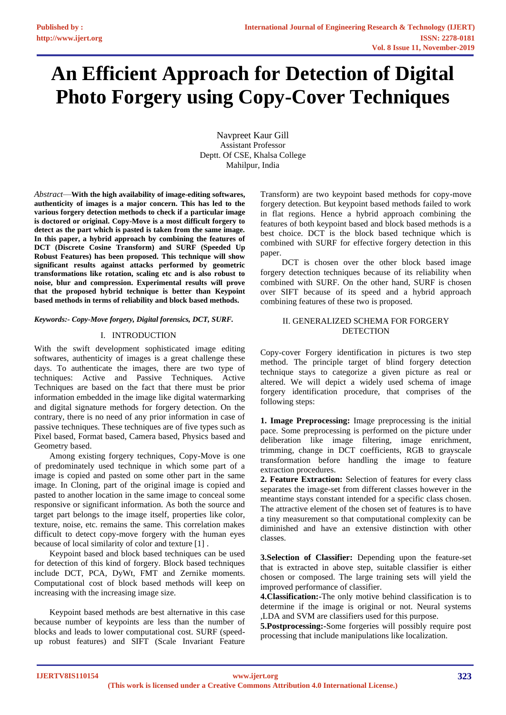# **An Efficient Approach for Detection of Digital Photo Forgery using Copy-Cover Techniques**

Navpreet Kaur Gill Assistant Professor Deptt. Of CSE, Khalsa College Mahilpur, India

*Abstract*—**With the high availability of image-editing softwares, authenticity of images is a major concern. This has led to the various forgery detection methods to check if a particular image is doctored or original. Copy-Move is a most difficult forgery to detect as the part which is pasted is taken from the same image. In this paper, a hybrid approach by combining the features of DCT (Discrete Cosine Transform) and SURF (Speeded Up Robust Features) has been proposed. This technique will show significant results against attacks performed by geometric transformations like rotation, scaling etc and is also robust to noise, blur and compression. Experimental results will prove that the proposed hybrid technique is better than Keypoint based methods in terms of reliability and block based methods.**

#### *Keywords:- Copy-Move forgery, Digital forensics, DCT, SURF.*

#### I. INTRODUCTION

With the swift development sophisticated image editing softwares, authenticity of images is a great challenge these days. To authenticate the images, there are two type of techniques: Active and Passive Techniques. Active Techniques are based on the fact that there must be prior information embedded in the image like digital watermarking and digital signature methods for forgery detection. On the contrary, there is no need of any prior information in case of passive techniques. These techniques are of five types such as Pixel based, Format based, Camera based, Physics based and Geometry based.

Among existing forgery techniques, Copy-Move is one of predominately used technique in which some part of a image is copied and pasted on some other part in the same image. In Cloning, part of the original image is copied and pasted to another location in the same image to conceal some responsive or significant information. As both the source and target part belongs to the image itself, properties like color, texture, noise, etc. remains the same. This correlation makes difficult to detect copy-move forgery with the human eyes because of local similarity of color and texture [1] .

Keypoint based and block based techniques can be used for detection of this kind of forgery. Block based techniques include DCT, PCA, DyWt, FMT and Zernike moments. Computational cost of block based methods will keep on increasing with the increasing image size.

Keypoint based methods are best alternative in this case because number of keypoints are less than the number of blocks and leads to lower computational cost. SURF (speedup robust features) and SIFT (Scale Invariant Feature

Transform) are two keypoint based methods for copy-move forgery detection. But keypoint based methods failed to work in flat regions. Hence a hybrid approach combining the features of both keypoint based and block based methods is a best choice. DCT is the block based technique which is combined with SURF for effective forgery detection in this paper.

 DCT is chosen over the other block based image forgery detection techniques because of its reliability when combined with SURF. On the other hand, SURF is chosen over SIFT because of its speed and a hybrid approach combining features of these two is proposed.

#### II. GENERALIZED SCHEMA FOR FORGERY **DETECTION**

Copy-cover Forgery identification in pictures is two step method. The principle target of blind forgery detection technique stays to categorize a given picture as real or altered. We will depict a widely used schema of image forgery identification procedure, that comprises of the following steps:

**1. Image Preprocessing:** Image preprocessing is the initial pace. Some preprocessing is performed on the picture under deliberation like image filtering, image enrichment, trimming, change in DCT coefficients, RGB to grayscale transformation before handling the image to feature extraction procedures.

**2. Feature Extraction:** Selection of features for every class separates the image-set from different classes however in the meantime stays constant intended for a specific class chosen. The attractive element of the chosen set of features is to have a tiny measurement so that computational complexity can be diminished and have an extensive distinction with other classes.

**3.Selection of Classifier:** Depending upon the feature-set that is extracted in above step, suitable classifier is either chosen or composed. The large training sets will yield the improved performance of classifier.

**4.Classification:-**The only motive behind classification is to determine if the image is original or not. Neural systems ,LDA and SVM are classifiers used for this purpose.

**5.Postprocessing:-**Some forgeries will possibly require post processing that include manipulations like localization.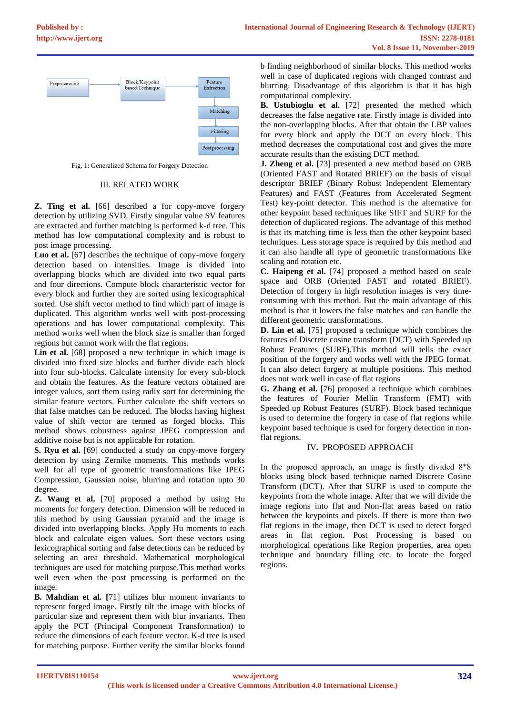

Fig. 1: Generalized Schema for Forgery Detection

#### III. RELATED WORK

**Z. Ting et al.** [66] described a for copy-move forgery detection by utilizing SVD. Firstly singular value SV features are extracted and further matching is performed k-d tree. This method has low computational complexity and is robust to post image processing.

**Luo et al.** [67] describes the technique of copy-move forgery detection based on intensities. Image is divided into overlapping blocks which are divided into two equal parts and four directions. Compute block characteristic vector for every block and further they are sorted using lexicographical sorted. Use shift vector method to find which part of image is duplicated. This algorithm works well with post-processing operations and has lower computational complexity. This method works well when the block size is smaller than forged regions but cannot work with the flat regions.

Lin et al. [68] proposed a new technique in which image is divided into fixed size blocks and further divide each block into four sub-blocks. Calculate intensity for every sub-block and obtain the features. As the feature vectors obtained are integer values, sort them using radix sort for determining the similar feature vectors. Further calculate the shift vectors so that false matches can be reduced. The blocks having highest value of shift vector are termed as forged blocks. This method shows robustness against JPEG compression and additive noise but is not applicable for rotation.

**S. Ryu et al.** [69] conducted a study on copy-move forgery detection by using Zernike moments. This methods works well for all type of geometric transformations like JPEG Compression, Gaussian noise, blurring and rotation upto 30 degree.

**Z. Wang et al.** [70] proposed a method by using Hu moments for forgery detection. Dimension will be reduced in this method by using Gaussian pyramid and the image is divided into overlapping blocks. Apply Hu moments to each block and calculate eigen values. Sort these vectors using lexicographical sorting and false detections can be reduced by selecting an area threshold. Mathematical morphological techniques are used for matching purpose.This method works well even when the post processing is performed on the image.

**B. Mahdian et al. [**71] utilizes blur moment invariants to represent forged image. Firstly tilt the image with blocks of particular size and represent them with blur invariants. Then apply the PCT (Principal Component Transformation) to reduce the dimensions of each feature vector. K-d tree is used for matching purpose. Further verify the similar blocks found

b finding neighborhood of similar blocks. This method works well in case of duplicated regions with changed contrast and blurring. Disadvantage of this algorithm is that it has high computational complexity.

**B. Ustubioglu et al.** [72] presented the method which decreases the false negative rate. Firstly image is divided into the non-overlapping blocks. After that obtain the LBP values for every block and apply the DCT on every block. This method decreases the computational cost and gives the more accurate results than the existing DCT method.

**J. Zheng et al.** [73] presented a new method based on ORB (Oriented FAST and Rotated BRIEF) on the basis of visual descriptor BRIEF (Binary Robust Independent Elementary Features) and FAST (Features from Accelerated Segment Test) key-point detector. This method is the alternative for other keypoint based techniques like SIFT and SURF for the detection of duplicated regions. The advantage of this method is that its matching time is less than the other keypoint based techniques. Less storage space is required by this method and it can also handle all type of geometric transformations like scaling and rotation etc.

**C. Haipeng et al.** [74] proposed a method based on scale space and ORB (Oriented FAST and rotated BRIEF). Detection of forgery in high resolution images is very timeconsuming with this method. But the main advantage of this method is that it lowers the false matches and can handle the different geometric transformations.

**D. Lin et al.** [75] proposed a technique which combines the features of Discrete cosine transform (DCT) with Speeded up Robust Features (SURF).This method will tells the exact position of the forgery and works well with the JPEG format. It can also detect forgery at multiple positions. This method does not work well in case of flat regions

**G. Zhang et al.** [76] proposed a technique which combines the features of Fourier Mellin Transform (FMT) with Speeded up Robust Features (SURF). Block based technique is used to determine the forgery in case of flat regions while keypoint based technique is used for forgery detection in nonflat regions.

### IV**.** PROPOSED APPROACH

In the proposed approach, an image is firstly divided 8\*8 blocks using block based technique named Discrete Cosine Transform (DCT). After that SURF is used to compute the keypoints from the whole image. After that we will divide the image regions into flat and Non-flat areas based on ratio between the keypoints and pixels. If there is more than two flat regions in the image, then DCT is used to detect forged areas in flat region. Post Processing is based on morphological operations like Region properties, area open technique and boundary filling etc. to locate the forged regions.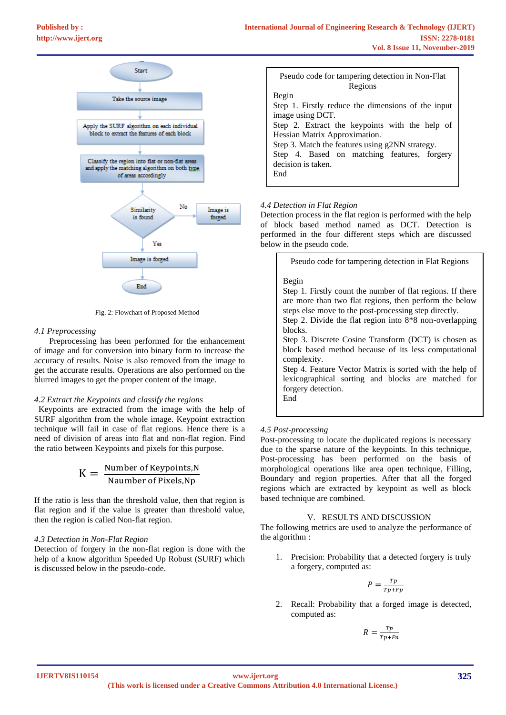

Fig. 2: Flowchart of Proposed Method

### *4.1 Preprocessing*

 Preprocessing has been performed for the enhancement of image and for conversion into binary form to increase the accuracy of results. Noise is also removed from the image to get the accurate results. Operations are also performed on the blurred images to get the proper content of the image.

### *4.2 Extract the Keypoints and classify the regions*

 Keypoints are extracted from the image with the help of SURF algorithm from the whole image. Keypoint extraction technique will fail in case of flat regions. Hence there is a need of division of areas into flat and non-flat region. Find the ratio between Keypoints and pixels for this purpose.

$$
K = \frac{Number of Keynes, N}{Naumber of Pixels, Np}
$$

If the ratio is less than the threshold value, then that region is flat region and if the value is greater than threshold value, then the region is called Non-flat region.

### *4.3 Detection in Non-Flat Region*

Detection of forgery in the non-flat region is done with the help of a know algorithm Speeded Up Robust (SURF) which is discussed below in the pseudo-code.

| Pseudo code for tampering detection in Non-Flat    |  |  |  |  |  |
|----------------------------------------------------|--|--|--|--|--|
| Regions                                            |  |  |  |  |  |
| Begin                                              |  |  |  |  |  |
| Step 1. Firstly reduce the dimensions of the input |  |  |  |  |  |
| image using DCT.                                   |  |  |  |  |  |
| Step 2. Extract the keypoints with the help of     |  |  |  |  |  |
| Hessian Matrix Approximation.                      |  |  |  |  |  |
| Step 3. Match the features using g2NN strategy.    |  |  |  |  |  |
| Step 4. Based on matching features, forgery        |  |  |  |  |  |
| decision is taken.                                 |  |  |  |  |  |
| End                                                |  |  |  |  |  |
|                                                    |  |  |  |  |  |

## *4.4 Detection in Flat Region*

Detection process in the flat region is performed with the help of block based method named as DCT. Detection is performed in the four different steps which are discussed below in the pseudo code.

| Pseudo code for tampering detection in Flat Regions                                                                                                                                                                                                                                                                                                                                                                                                                                                                                          |
|----------------------------------------------------------------------------------------------------------------------------------------------------------------------------------------------------------------------------------------------------------------------------------------------------------------------------------------------------------------------------------------------------------------------------------------------------------------------------------------------------------------------------------------------|
| Begin<br>Step 1. Firstly count the number of flat regions. If there<br>are more than two flat regions, then perform the below<br>steps else move to the post-processing step directly.<br>Step 2. Divide the flat region into $8*8$ non-overlapping<br>blocks.<br>Step 3. Discrete Cosine Transform (DCT) is chosen as<br>block based method because of its less computational<br>complexity.<br>Step 4. Feature Vector Matrix is sorted with the help of<br>lexicographical sorting and blocks are matched for<br>forgery detection.<br>End |
|                                                                                                                                                                                                                                                                                                                                                                                                                                                                                                                                              |

# *4.5 Post-processing*

Post-processing to locate the duplicated regions is necessary due to the sparse nature of the keypoints. In this technique, Post-processing has been performed on the basis of morphological operations like area open technique, Filling, Boundary and region properties. After that all the forged regions which are extracted by keypoint as well as block based technique are combined.

### V. RESULTS AND DISCUSSION

The following metrics are used to analyze the performance of the algorithm :

1. Precision: Probability that a detected forgery is truly a forgery, computed as:

$$
P = \frac{Tp}{Tp + Fp}
$$

2. Recall: Probability that a forged image is detected, computed as:

$$
R = \frac{rp}{Tp + Fn}
$$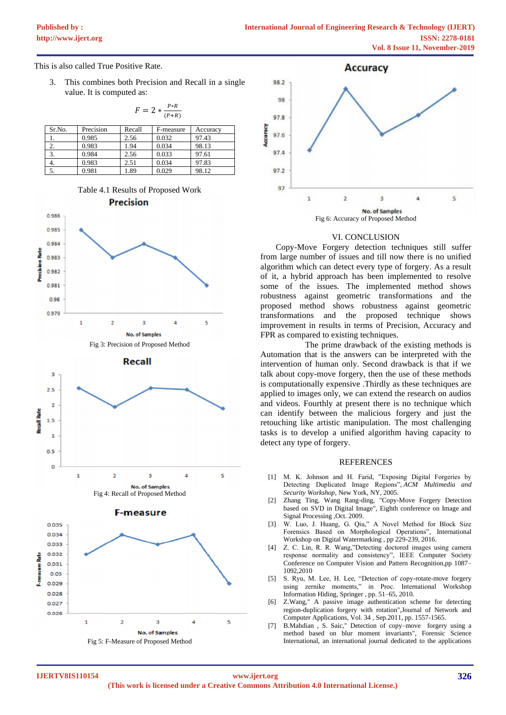This is also called True Positive Rate.

3. This combines both Precision and Recall in a single value. It is computed as:

|        | $F = 2 * \frac{P_{\text{r}}}{P_{\text{r}}R}$ |        |           |          |  |  |
|--------|----------------------------------------------|--------|-----------|----------|--|--|
| Sr.No. | Precision                                    | Recall | F-measure | Accuracy |  |  |
| 1.     | 0.985                                        | 2.56   | 0.032     | 97.43    |  |  |
| 2.     | 0.983                                        | 1.94   | 0.034     | 98.13    |  |  |
| 3.     | 0.984                                        | 2.56   | 0.033     | 97.61    |  |  |
| 4.     | 0.983                                        | 2.51   | 0.034     | 97.83    |  |  |
| 5.     | 0.981                                        | 1.89   | 0.029     | 98.12    |  |  |

 $F = 2 * \frac{P * R}{P}$ 











### VI. CONCLUSION

Copy-Move Forgery detection techniques still suffer from large number of issues and till now there is no unified algorithm which can detect every type of forgery. As a result of it, a hybrid approach has been implemented to resolve some of the issues. The implemented method shows robustness against geometric transformations and the proposed method shows robustness against geometric transformations and the proposed technique shows improvement in results in terms of Precision, Accuracy and FPR as compared to existing techniques.

 The prime drawback of the existing methods is Automation that is the answers can be interpreted with the intervention of human only. Second drawback is that if we talk about copy-move forgery, then the use of these methods is computationally expensive .Thirdly as these techniques are applied to images only, we can extend the research on audios and videos. Fourthly at present there is no technique which can identify between the malicious forgery and just the retouching like artistic manipulation. The most challenging tasks is to develop a unified algorithm having capacity to detect any type of forgery.

#### REFERENCES

- [1] M. K. Johnson and H. Farid, "Exposing Digital Forgeries by Detecting Duplicated Image Regions", *ACM Multimedia and Security Workshop*, New York, NY, 2005.
- [2] Zhang Ting, Wang Rang-ding, "Copy-Move Forgery Detection based on SVD in Digital Image", Eighth conference on Image and Signal Processing ,Oct. 2009.
- [3] W. Luo, J. Huang, G. Qiu," A Novel Method for Block Size Forensics Based on Morphological Operations", International Workshop on Digital Watermarking , pp 229-239, 2016.
- [4] Z. C. Lin, R. R. Wang,"Detecting doctored images using camera response normality and consistency", IEEE Computer Society Conference on Computer Vision and Pattern Recognition,pp 1087– 1092,2010
- [5] S. Ryu, M. Lee, H. Lee, "Detection of copy-rotate-move forgery using zernike moments," in Proc. International Workshop Information Hiding, Springer , pp. 51–65, 2010.
- [6] Z.Wang," A passive image authentication scheme for detecting region-duplication forgery with rotation",Journal of Network and Computer Applications, Vol. 34 , Sep.2011, pp. 1557-1565.
- [7] B.Mahdian , S. Saic," Detection of copy–move forgery using a method based on blur moment invariants", Forensic Science International, an international journal dedicated to the applications